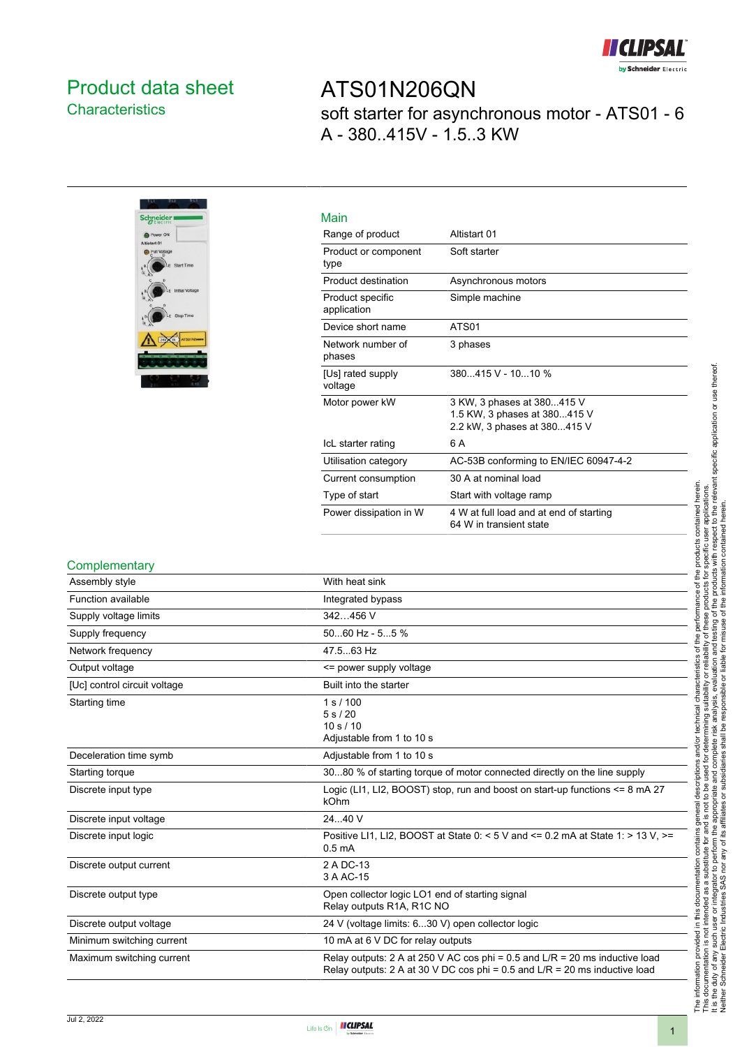

## <span id="page-0-0"></span>Product data sheet **Characteristics**

ATS01N206QN soft starter for asynchronous motor - ATS01 - 6 A - 380..415V - 1.5..3 KW

| <b>Schneid</b><br>lectric                       |
|-------------------------------------------------|
| Power ON                                        |
| Altistart 01<br><b>BaatloV</b> Ilu <sup>2</sup> |
| Start Time<br>VЕ.                               |
| b<br>Initial Voltage<br>F                       |
| Stop Time<br>×                                  |
|                                                 |
|                                                 |
|                                                 |

| Main                            |                                                                                            |
|---------------------------------|--------------------------------------------------------------------------------------------|
| Range of product                | Altistart 01                                                                               |
| Product or component<br>type    | Soft starter                                                                               |
| Product destination             | Asynchronous motors                                                                        |
| Product specific<br>application | Simple machine                                                                             |
| Device short name               | ATS01                                                                                      |
| Network number of<br>phases     | 3 phases                                                                                   |
| [Us] rated supply<br>voltage    | 380415 V - 1010 %                                                                          |
| Motor power kW                  | 3 KW, 3 phases at 380415 V<br>1.5 KW, 3 phases at 380415 V<br>2.2 kW, 3 phases at 380415 V |
| IcL starter rating              | 6 A                                                                                        |
| Utilisation category            | AC-53B conforming to EN/IEC 60947-4-2                                                      |
| Current consumption             | 30 A at nominal load                                                                       |
| Type of start                   | Start with voltage ramp                                                                    |
| Power dissipation in W          | 4 W at full load and at end of starting<br>64 W in transient state                         |

#### **Complementary**

| Assembly style               | With heat sink                                                                                                                                              |
|------------------------------|-------------------------------------------------------------------------------------------------------------------------------------------------------------|
| Function available           | Integrated bypass                                                                                                                                           |
| Supply voltage limits        | 342456 V                                                                                                                                                    |
| Supply frequency             | $5060$ Hz - $55$ %                                                                                                                                          |
| Network frequency            | 47.563 Hz                                                                                                                                                   |
| Output voltage               | <= power supply voltage                                                                                                                                     |
| [Uc] control circuit voltage | Built into the starter                                                                                                                                      |
| Starting time                | 1 s / 100<br>5s/20<br>10 s / 10<br>Adjustable from 1 to 10 s                                                                                                |
| Deceleration time symb       | Adjustable from 1 to 10 s                                                                                                                                   |
| Starting torque              | 3080 % of starting torque of motor connected directly on the line supply                                                                                    |
| Discrete input type          | Logic (LI1, LI2, BOOST) stop, run and boost on start-up functions $\leq 8$ mA 27<br>kOhm                                                                    |
| Discrete input voltage       | 2440 V                                                                                                                                                      |
| Discrete input logic         | Positive LI1, LI2, BOOST at State $0.5 \text{ V}$ and $\le 0.2 \text{ mA}$ at State 1: > 13 V, >=<br>0.5 <sub>m</sub> A                                     |
| Discrete output current      | 2 A DC-13<br>3 A AC-15                                                                                                                                      |
| Discrete output type         | Open collector logic LO1 end of starting signal<br>Relay outputs R <sub>1</sub> A, R <sub>1</sub> C NO                                                      |
| Discrete output voltage      | 24 V (voltage limits: 630 V) open collector logic                                                                                                           |
| Minimum switching current    | 10 mA at 6 V DC for relay outputs                                                                                                                           |
| Maximum switching current    | Relay outputs: 2 A at 250 V AC cos phi = 0.5 and L/R = 20 ms inductive load<br>Relay outputs: 2 A at 30 V DC cos phi = 0.5 and $L/R = 20$ ms inductive load |

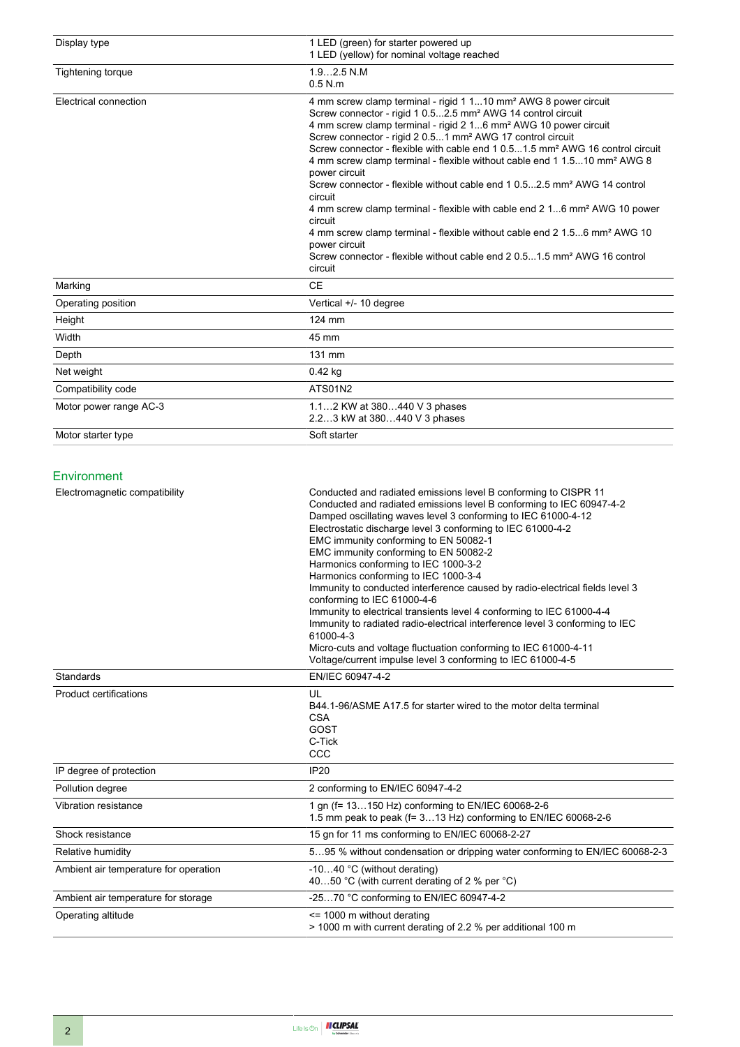| Display type           | 1 LED (green) for starter powered up<br>1 LED (yellow) for nominal voltage reached                                                                                                                                                                                                                                                                                                                                                                                                                                                                                                                                                                                                                                                                                                                                                                                                                                                      |
|------------------------|-----------------------------------------------------------------------------------------------------------------------------------------------------------------------------------------------------------------------------------------------------------------------------------------------------------------------------------------------------------------------------------------------------------------------------------------------------------------------------------------------------------------------------------------------------------------------------------------------------------------------------------------------------------------------------------------------------------------------------------------------------------------------------------------------------------------------------------------------------------------------------------------------------------------------------------------|
| Tightening torque      | $1.92.5$ N.M<br>$0.5$ N.m                                                                                                                                                                                                                                                                                                                                                                                                                                                                                                                                                                                                                                                                                                                                                                                                                                                                                                               |
| Electrical connection  | 4 mm screw clamp terminal - rigid 1 110 mm <sup>2</sup> AWG 8 power circuit<br>Screw connector - rigid 1 0.52.5 mm <sup>2</sup> AWG 14 control circuit<br>4 mm screw clamp terminal - rigid 2 16 mm <sup>2</sup> AWG 10 power circuit<br>Screw connector - rigid 2 0.51 mm <sup>2</sup> AWG 17 control circuit<br>Screw connector - flexible with cable end 1 0.51.5 mm <sup>2</sup> AWG 16 control circuit<br>4 mm screw clamp terminal - flexible without cable end 1 1.510 mm <sup>2</sup> AWG 8<br>power circuit<br>Screw connector - flexible without cable end 1 0.52.5 mm <sup>2</sup> AWG 14 control<br>circuit<br>4 mm screw clamp terminal - flexible with cable end 2 16 mm <sup>2</sup> AWG 10 power<br>circuit<br>4 mm screw clamp terminal - flexible without cable end 2 1.56 mm <sup>2</sup> AWG 10<br>power circuit<br>Screw connector - flexible without cable end 2 0.51.5 mm <sup>2</sup> AWG 16 control<br>circuit |
| Marking                | <b>CE</b>                                                                                                                                                                                                                                                                                                                                                                                                                                                                                                                                                                                                                                                                                                                                                                                                                                                                                                                               |
| Operating position     | Vertical +/- 10 degree                                                                                                                                                                                                                                                                                                                                                                                                                                                                                                                                                                                                                                                                                                                                                                                                                                                                                                                  |
| Height                 | 124 mm                                                                                                                                                                                                                                                                                                                                                                                                                                                                                                                                                                                                                                                                                                                                                                                                                                                                                                                                  |
| Width                  | 45 mm                                                                                                                                                                                                                                                                                                                                                                                                                                                                                                                                                                                                                                                                                                                                                                                                                                                                                                                                   |
| Depth                  | 131 mm                                                                                                                                                                                                                                                                                                                                                                                                                                                                                                                                                                                                                                                                                                                                                                                                                                                                                                                                  |
| Net weight             | $0.42$ kg                                                                                                                                                                                                                                                                                                                                                                                                                                                                                                                                                                                                                                                                                                                                                                                                                                                                                                                               |
| Compatibility code     | ATS01N2                                                                                                                                                                                                                                                                                                                                                                                                                                                                                                                                                                                                                                                                                                                                                                                                                                                                                                                                 |
| Motor power range AC-3 | 1.12 KW at 380440 V 3 phases<br>2.23 kW at 380440 V 3 phases                                                                                                                                                                                                                                                                                                                                                                                                                                                                                                                                                                                                                                                                                                                                                                                                                                                                            |
| Motor starter type     | Soft starter                                                                                                                                                                                                                                                                                                                                                                                                                                                                                                                                                                                                                                                                                                                                                                                                                                                                                                                            |

#### Environment

| Electromagnetic compatibility         | Conducted and radiated emissions level B conforming to CISPR 11<br>Conducted and radiated emissions level B conforming to IEC 60947-4-2<br>Damped oscillating waves level 3 conforming to IEC 61000-4-12<br>Electrostatic discharge level 3 conforming to IEC 61000-4-2<br>EMC immunity conforming to EN 50082-1<br>EMC immunity conforming to EN 50082-2<br>Harmonics conforming to IEC 1000-3-2<br>Harmonics conforming to IEC 1000-3-4<br>Immunity to conducted interference caused by radio-electrical fields level 3<br>conforming to IEC 61000-4-6<br>Immunity to electrical transients level 4 conforming to IEC 61000-4-4<br>Immunity to radiated radio-electrical interference level 3 conforming to IEC<br>61000-4-3<br>Micro-cuts and voltage fluctuation conforming to IEC 61000-4-11<br>Voltage/current impulse level 3 conforming to IEC 61000-4-5 |
|---------------------------------------|------------------------------------------------------------------------------------------------------------------------------------------------------------------------------------------------------------------------------------------------------------------------------------------------------------------------------------------------------------------------------------------------------------------------------------------------------------------------------------------------------------------------------------------------------------------------------------------------------------------------------------------------------------------------------------------------------------------------------------------------------------------------------------------------------------------------------------------------------------------|
| <b>Standards</b>                      | EN/IEC 60947-4-2                                                                                                                                                                                                                                                                                                                                                                                                                                                                                                                                                                                                                                                                                                                                                                                                                                                 |
| <b>Product certifications</b>         | UL<br>B44.1-96/ASME A17.5 for starter wired to the motor delta terminal<br><b>CSA</b><br>GOST<br>C-Tick<br>CCC                                                                                                                                                                                                                                                                                                                                                                                                                                                                                                                                                                                                                                                                                                                                                   |
| IP degree of protection               | <b>IP20</b>                                                                                                                                                                                                                                                                                                                                                                                                                                                                                                                                                                                                                                                                                                                                                                                                                                                      |
| Pollution degree                      | 2 conforming to EN/IEC 60947-4-2                                                                                                                                                                                                                                                                                                                                                                                                                                                                                                                                                                                                                                                                                                                                                                                                                                 |
| Vibration resistance                  | 1 gn (f= 13150 Hz) conforming to EN/IEC 60068-2-6<br>1.5 mm peak to peak (f= 313 Hz) conforming to EN/IEC 60068-2-6                                                                                                                                                                                                                                                                                                                                                                                                                                                                                                                                                                                                                                                                                                                                              |
| Shock resistance                      | 15 gn for 11 ms conforming to EN/IEC 60068-2-27                                                                                                                                                                                                                                                                                                                                                                                                                                                                                                                                                                                                                                                                                                                                                                                                                  |
| Relative humidity                     | 595 % without condensation or dripping water conforming to EN/IEC 60068-2-3                                                                                                                                                                                                                                                                                                                                                                                                                                                                                                                                                                                                                                                                                                                                                                                      |
| Ambient air temperature for operation | -1040 °C (without derating)<br>4050 °C (with current derating of 2 % per °C)                                                                                                                                                                                                                                                                                                                                                                                                                                                                                                                                                                                                                                                                                                                                                                                     |
| Ambient air temperature for storage   | -2570 °C conforming to EN/IEC 60947-4-2                                                                                                                                                                                                                                                                                                                                                                                                                                                                                                                                                                                                                                                                                                                                                                                                                          |
| Operating altitude                    | $\le$ 1000 m without derating<br>> 1000 m with current derating of 2.2 % per additional 100 m                                                                                                                                                                                                                                                                                                                                                                                                                                                                                                                                                                                                                                                                                                                                                                    |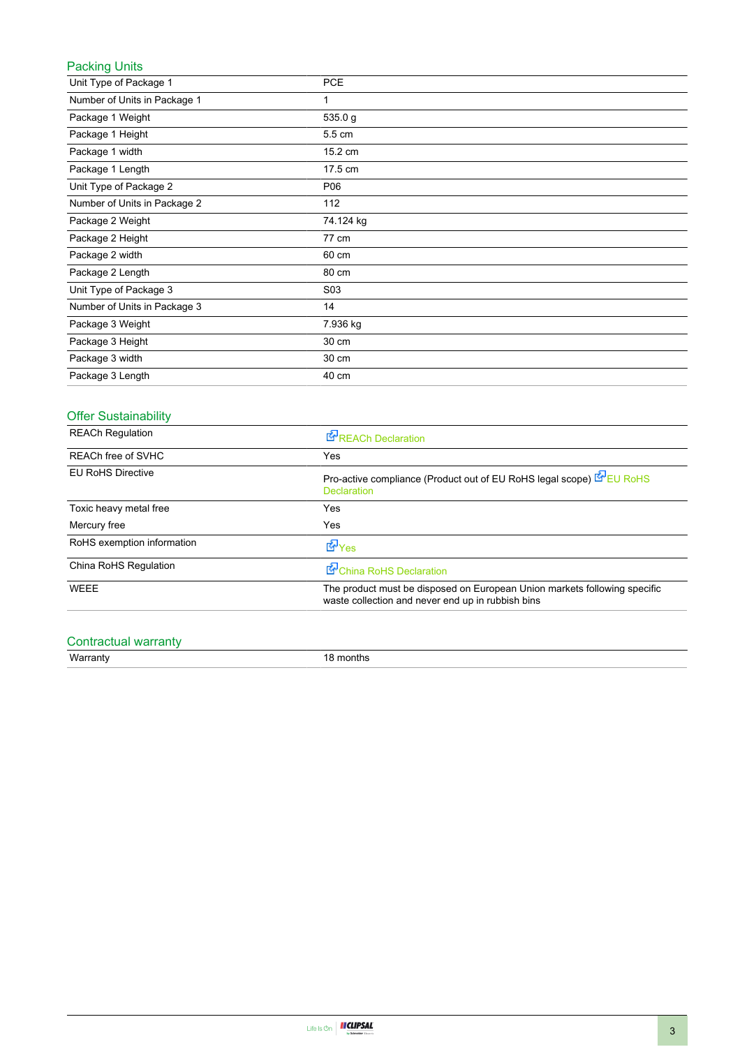### Packing Units

| Unit Type of Package 1       | <b>PCE</b> |
|------------------------------|------------|
| Number of Units in Package 1 | 1          |
| Package 1 Weight             | 535.0 g    |
| Package 1 Height             | 5.5 cm     |
| Package 1 width              | 15.2 cm    |
| Package 1 Length             | 17.5 cm    |
| Unit Type of Package 2       | P06        |
| Number of Units in Package 2 | 112        |
| Package 2 Weight             | 74.124 kg  |
| Package 2 Height             | 77 cm      |
| Package 2 width              | 60 cm      |
| Package 2 Length             | 80 cm      |
| Unit Type of Package 3       | S03        |
| Number of Units in Package 3 | 14         |
| Package 3 Weight             | 7.936 kg   |
| Package 3 Height             | 30 cm      |
| Package 3 width              | 30 cm      |
| Package 3 Length             | 40 cm      |

## Offer Sustainability

| <b>REACh Regulation</b>    | <b>REACh Declaration</b>                                                                                                       |
|----------------------------|--------------------------------------------------------------------------------------------------------------------------------|
| <b>REACh free of SVHC</b>  | Yes                                                                                                                            |
| <b>EU RoHS Directive</b>   | Pro-active compliance (Product out of EU RoHS legal scope) E EU RoHS<br><b>Declaration</b>                                     |
| Toxic heavy metal free     | Yes                                                                                                                            |
| Mercury free               | Yes                                                                                                                            |
| RoHS exemption information | d Yes                                                                                                                          |
| China RoHS Regulation      | China RoHS Declaration                                                                                                         |
| <b>WEEE</b>                | The product must be disposed on European Union markets following specific<br>waste collection and never end up in rubbish bins |

## Contractual warranty

Warranty 18 months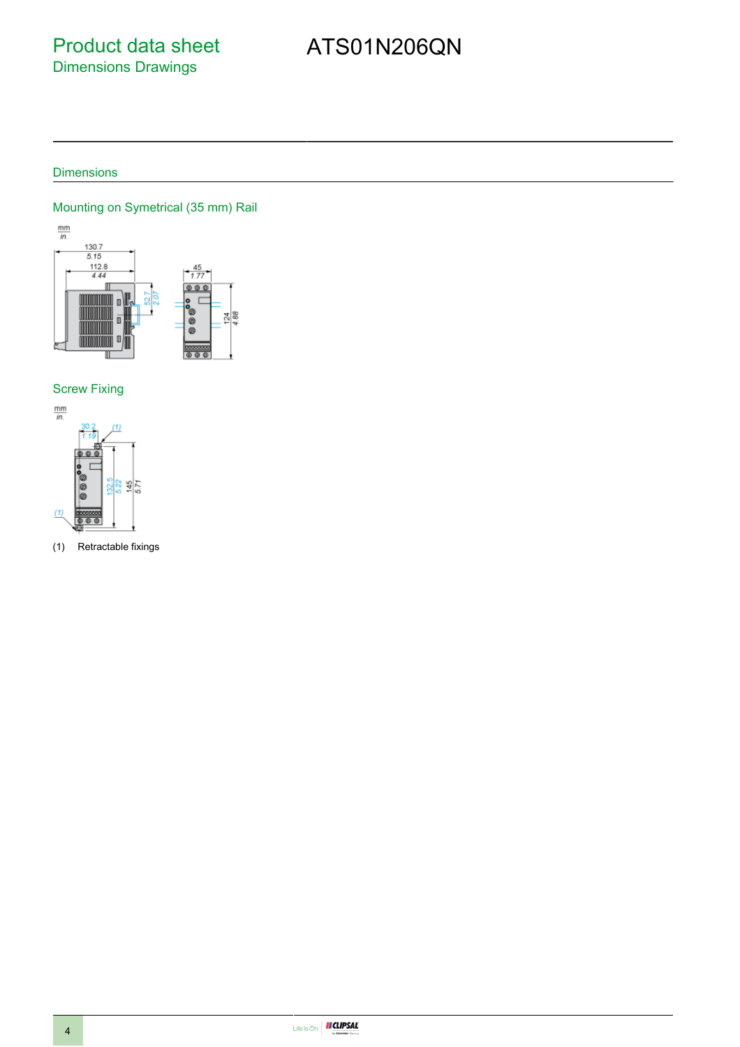# Product data sheet Dimensions Drawings

# ATS01N206QN

### **Dimensions**

#### Mounting on Symetrical (35 mm) Rail



#### Screw Fixing



(1) Retractable fixings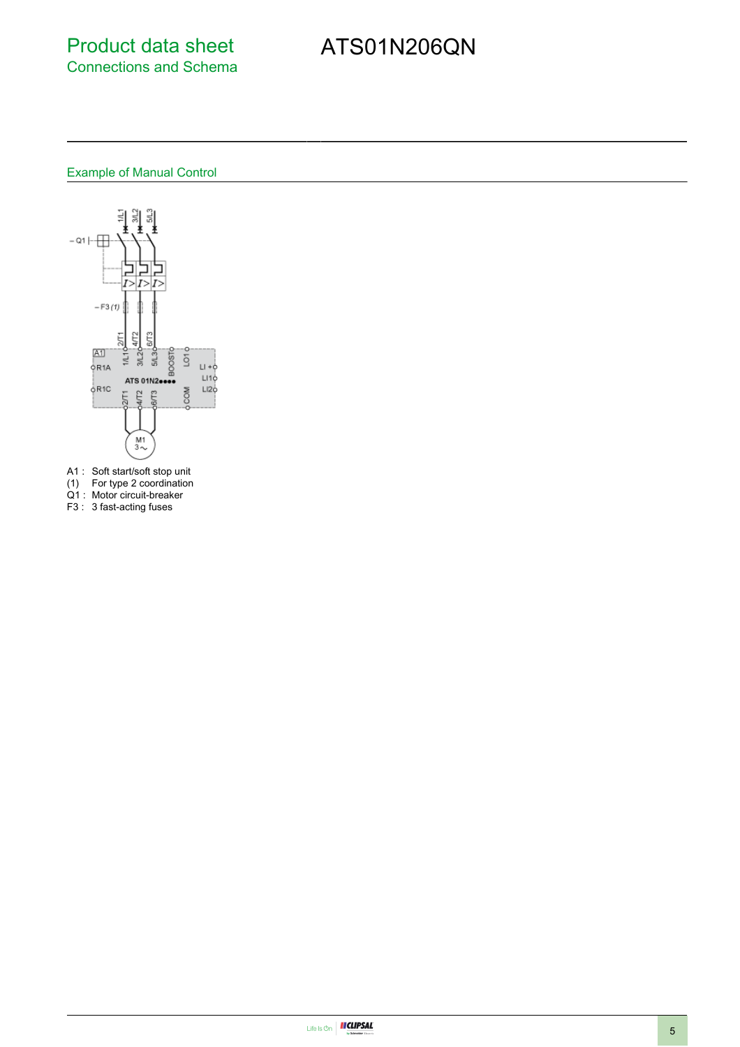## Product data sheet Connections and Schema

# ATS01N206QN

# Example of Manual Control



- A1 : Soft start/soft stop unit
- (1) For type 2 coordination
- Q1 : Motor circuit-breaker
- F3 : 3 fast-acting fuses